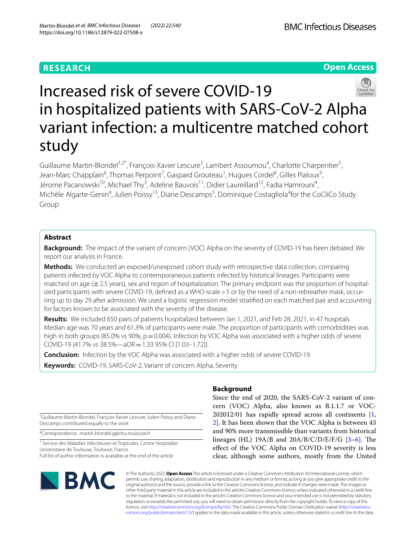# **RESEARCH**

**Open Access**



# Increased risk of severe COVID‑19 in hospitalized patients with SARS‑CoV‑2 Alpha variant infection: a multicentre matched cohort study

Guillaume Martin-Blondel<sup>1,2\*</sup>, François-Xavier Lescure<sup>3</sup>, Lambert Assoumou<sup>4</sup>, Charlotte Charpentier<sup>5</sup>, Jean-Marc Chapplain<sup>6</sup>, Thomas Perpoint<sup>7</sup>, Gaspard Grouteau<sup>1</sup>, Hugues Cordel<sup>8</sup>, Gilles Pialoux<sup>9</sup>, Jérome Pacanowski<sup>10</sup>, Michael Thy<sup>3</sup>, Adeline Bauvois<sup>11</sup>, Didier Laureillard<sup>12</sup>, Fadia Hamrouni<sup>4</sup>, Michèle Algarte-Genin<sup>4</sup>, Julien Poissy<sup>13</sup>, Diane Descamps<sup>5</sup>, Dominique Costagliola<sup>4</sup>for the CoCliCo Study Group

# **Abstract**

**Background:** The impact of the variant of concern (VOC) Alpha on the severity of COVID-19 has been debated. We report our analysis in France.

**Methods:** We conducted an exposed/unexposed cohort study with retrospective data collection, comparing patients infected by VOC Alpha to contemporaneous patients infected by historical lineages. Participants were matched on age  $(\pm 2.5$  years), sex and region of hospitalization. The primary endpoint was the proportion of hospitalized participants with severe COVID-19, defined as a WHO-scale > 5 or by the need of a non-rebreather mask, occurring up to day 29 after admission. We used a logistic regression model stratifed on each matched pair and accounting for factors known to be associated with the severity of the disease.

**Results:** We included 650 pairs of patients hospitalized between Jan 1, 2021, and Feb 28, 2021, in 47 hospitals. Median age was 70 years and 61.3% of participants were male. The proportion of participants with comorbidities was high in both groups (85.0% vs 90%,  $p = 0.004$ ). Infection by VOC Alpha was associated with a higher odds of severe COVID-19 (41.7% vs 38.5%—aOR=1.33 95% CI [1.03–1.72]).

**Conclusion:** Infection by the VOC Alpha was associated with a higher odds of severe COVID-19.

**Keywords:** COVID-19, SARS-CoV-2, Variant of concern Alpha, Severity

† Guillaume Martin-Blondel, François-Xavier Lescure, Julien Poissy and Diane Descamps contributed equally to the work

\*Correspondence: martin-blondel.g@chu-toulouse.fr

<sup>1</sup> Service des Maladies Infectieuses et Tropicales, Centre Hospitalier Universitaire de Toulouse, Toulouse, France Full list of author information is available at the end of the article

# **SMC**

# **Background**

Since the end of 2020, the SARS-CoV-2 variant of concern (VOC) Alpha, also known as B.1.1.7 or VOC-202012/01 has rapidly spread across all continents [\[1](#page-8-0), [2\]](#page-8-1). It has been shown that the VOC Alpha is between 43 and 90% more transmissible than variants from historical lineages (HL)  $19A/B$  and  $20A/B/C/D/E/F/G$  [[3–](#page-8-2)[6\]](#page-8-3). The efect of the VOC Alpha on COVID-19 severity is less clear, although some authors, mostly from the United

© The Author(s) 2022. **Open Access** This article is licensed under a Creative Commons Attribution 4.0 International License, which permits use, sharing, adaptation, distribution and reproduction in any medium or format, as long as you give appropriate credit to the original author(s) and the source, provide a link to the Creative Commons licence, and indicate if changes were made. The images or other third party material in this article are included in the article's Creative Commons licence, unless indicated otherwise in a credit line to the material. If material is not included in the article's Creative Commons licence and your intended use is not permitted by statutory regulation or exceeds the permitted use, you will need to obtain permission directly from the copyright holder. To view a copy of this licence, visit [http://creativecommons.org/licenses/by/4.0/.](http://creativecommons.org/licenses/by/4.0/) The Creative Commons Public Domain Dedication waiver ([http://creativeco](http://creativecommons.org/publicdomain/zero/1.0/) [mmons.org/publicdomain/zero/1.0/](http://creativecommons.org/publicdomain/zero/1.0/)) applies to the data made available in this article, unless otherwise stated in a credit line to the data.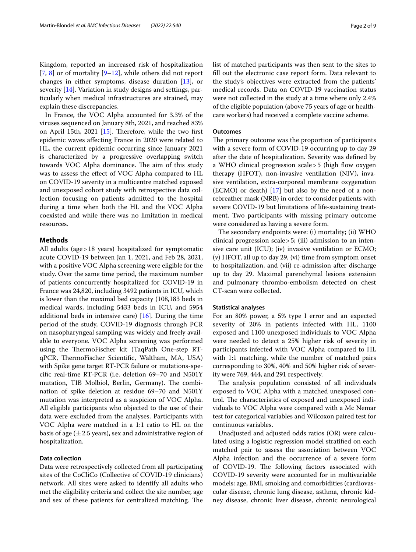Kingdom, reported an increased risk of hospitalization  $[7, 8]$  $[7, 8]$  $[7, 8]$  $[7, 8]$  $[7, 8]$  or of mortality  $[9-12]$  $[9-12]$  $[9-12]$ , while others did not report changes in either symptoms, disease duration [[13\]](#page-8-8), or severity [[14\]](#page-8-9). Variation in study designs and settings, particularly when medical infrastructures are strained, may explain these discrepancies.

In France, the VOC Alpha accounted for 3.3% of the viruses sequenced on January 8th, 2021, and reached 83% on April 15th,  $2021$  [\[15](#page-8-10)]. Therefore, while the two first epidemic waves afecting France in 2020 were related to HL, the current epidemic occurring since January 2021 is characterized by a progressive overlapping switch towards VOC Alpha dominance. The aim of this study was to assess the efect of VOC Alpha compared to HL on COVID-19 severity in a multicentre matched exposed and unexposed cohort study with retrospective data collection focusing on patients admitted to the hospital during a time when both the HL and the VOC Alpha coexisted and while there was no limitation in medical resources.

# **Methods**

All adults (age>18 years) hospitalized for symptomatic acute COVID-19 between Jan 1, 2021, and Feb 28, 2021, with a positive VOC Alpha screening were eligible for the study. Over the same time period, the maximum number of patients concurrently hospitalized for COVID-19 in France was 24,820, including 3492 patients in ICU, which is lower than the maximal bed capacity (108,183 beds in medical wards, including 5433 beds in ICU, and 5954 additional beds in intensive care)  $[16]$  $[16]$ . During the time period of the study, COVID-19 diagnosis through PCR on nasopharyngeal sampling was widely and freely available to everyone. VOC Alpha screening was performed using the ThermoFischer kit (TaqPath One-step RTqPCR, ThermoFischer Scientific, Waltham, MA, USA) with Spike gene target RT-PCR failure or mutations-specifc real-time RT-PCR (i.e. deletion 69–70 and N501Y mutation, TIB Molbiol, Berlin, Germany). The combination of spike deletion at residue 69–70 and N501Y mutation was interpreted as a suspicion of VOC Alpha. All eligible participants who objected to the use of their data were excluded from the analyses. Participants with VOC Alpha were matched in a 1:1 ratio to HL on the basis of age  $(\pm 2.5$  years), sex and administrative region of hospitalization.

# **Data collection**

Data were retrospectively collected from all participating sites of the CoCliCo (Collective of COVID-19 clinicians) network. All sites were asked to identify all adults who met the eligibility criteria and collect the site number, age and sex of these patients for centralized matching. The list of matched participants was then sent to the sites to fll out the electronic case report form. Data relevant to the study's objectives were extracted from the patients' medical records. Data on COVID-19 vaccination status were not collected in the study at a time where only 2.4% of the eligible population (above 75 years of age or healthcare workers) had received a complete vaccine scheme*.*

# **Outcomes**

The primary outcome was the proportion of participants with a severe form of COVID-19 occurring up to day 29 after the date of hospitalization. Severity was defned by a WHO clinical progression scale  $>$  5 (high flow oxygen therapy (HFOT), non-invasive ventilation (NIV), invasive ventilation, extra-corporeal membrane oxygenation (ECMO) or death) [\[17\]](#page-8-12) but also by the need of a nonrebreather mask (NRB) in order to consider patients with severe COVID-19 but limitations of life-sustaining treatment. Two participants with missing primary outcome were considered as having a severe form.

The secondary endpoints were: (i) mortality; (ii) WHO clinical progression scale>5; (iii) admission to an intensive care unit (ICU); (iv) invasive ventilation or ECMO; (v) HFOT, all up to day 29, (vi) time from symptom onset to hospitalization, and (vii) re-admission after discharge up to day 29. Maximal parenchymal lesions extension and pulmonary thrombo-embolism detected on chest CT-scan were collected.

# **Statistical analyses**

For an 80% power, a 5% type I error and an expected severity of 20% in patients infected with HL, 1100 exposed and 1100 unexposed individuals to VOC Alpha were needed to detect a 25% higher risk of severity in participants infected with VOC Alpha compared to HL with 1:1 matching, while the number of matched pairs corresponding to 30%, 40% and 50% higher risk of severity were 769, 444, and 291 respectively.

The analysis population consisted of all individuals exposed to VOC Alpha with a matched unexposed control. The characteristics of exposed and unexposed individuals to VOC Alpha were compared with a Mc Nemar test for categorical variables and Wilcoxon paired test for continuous variables.

Unadjusted and adjusted odds ratios (OR) were calculated using a logistic regression model stratifed on each matched pair to assess the association between VOC Alpha infection and the occurrence of a severe form of COVID-19. The following factors associated with COVID-19 severity were accounted for in multivariable models: age, BMI, smoking and comorbidities (cardiovascular disease, chronic lung disease, asthma, chronic kidney disease, chronic liver disease, chronic neurological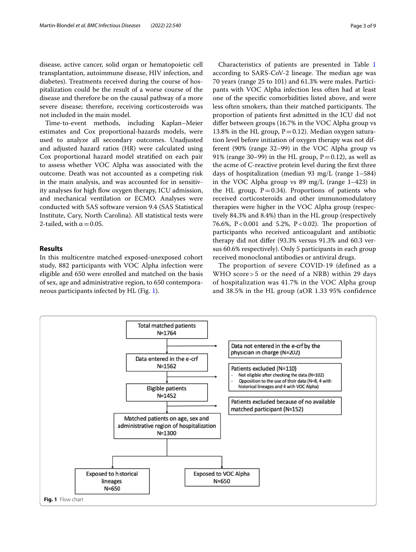disease, active cancer, solid organ or hematopoietic cell transplantation, autoimmune disease, HIV infection, and diabetes). Treatments received during the course of hospitalization could be the result of a worse course of the disease and therefore be on the causal pathway of a more severe disease; therefore, receiving corticosteroids was not included in the main model.

Time-to-event methods, including Kaplan–Meier estimates and Cox proportional-hazards models, were used to analyze all secondary outcomes. Unadjusted and adjusted hazard ratios (HR) were calculated using Cox proportional hazard model stratifed on each pair to assess whether VOC Alpha was associated with the outcome. Death was not accounted as a competing risk in the main analysis, and was accounted for in sensitivity analyses for high flow oxygen therapy, ICU admission, and mechanical ventilation or ECMO. Analyses were conducted with SAS software version 9.4 (SAS Statistical Institute, Cary, North Carolina). All statistical tests were 2-tailed, with  $\alpha$  = 0.05.

# **Results**

In this multicentre matched exposed-unexposed cohort study, 882 participants with VOC Alpha infection were eligible and 650 were enrolled and matched on the basis of sex, age and administrative region, to 650 contemporaneous participants infected by HL (Fig. [1\)](#page-2-0).

Characteristics of patients are presented in Table [1](#page-3-0) according to SARS-CoV-2 lineage. The median age was 70 years (range 25 to 101) and 61.3% were males. Participants with VOC Alpha infection less often had at least one of the specifc comorbidities listed above, and were less often smokers, than their matched participants. The proportion of patients frst admitted in the ICU did not difer between groups (16.7% in the VOC Alpha group vs 13.8% in the HL group,  $P=0.12$ ). Median oxygen saturation level before initiation of oxygen therapy was not different (90% (range 32–99) in the VOC Alpha group vs 91% (range 30–99) in the HL group,  $P=0.12$ ), as well as the acme of C-reactive protein level during the frst three days of hospitalization (median 93 mg/L (range 1–584) in the VOC Alpha group vs 89 mg/L (range 1–423) in the HL group,  $P=0.34$ ). Proportions of patients who received corticosteroids and other immunomodulatory therapies were higher in the VOC Alpha group (respectively 84.3% and 8.4%) than in the HL group (respectively 76.6%,  $P < 0.001$  and 5.2%,  $P < 0.02$ ). The proportion of participants who received anticoagulant and antibiotic therapy did not difer (93.3% versus 91.3% and 60.3 versus 60.6% respectively). Only 5 participants in each group received monoclonal antibodies or antiviral drugs.

The proportion of severe COVID-19 (defined as a WHO score > 5 or the need of a NRB) within 29 days of hospitalization was 41.7% in the VOC Alpha group and 38.5% in the HL group (aOR 1.33 95% confidence

<span id="page-2-0"></span>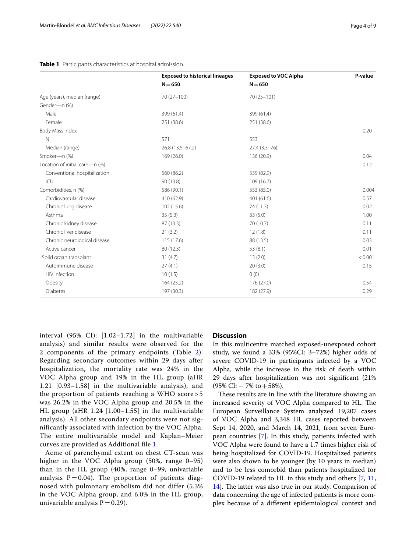# <span id="page-3-0"></span>**Table 1** Participants characteristics at hospital admission

|                                | <b>Exposed to historical lineages</b> | <b>Exposed to VOC Alpha</b> | P-value |
|--------------------------------|---------------------------------------|-----------------------------|---------|
|                                | $N = 650$                             | $N = 650$                   |         |
| Age (years), median (range)    | 70 (27-100)                           | 70 (25-101)                 |         |
| Gender-n (%)                   |                                       |                             |         |
| Male                           | 399 (61.4)                            | 399 (61.4)                  |         |
| Female                         | 251 (38.6)                            | 251 (38.6)                  |         |
| Body Mass Index                |                                       |                             | 0.20    |
| N                              | 571                                   | 553                         |         |
| Median (range)                 | 26.8 (13.5 - 67.2)                    | $27.4(3.3 - 76)$            |         |
| Smoker-n (%)                   | 169(26.0)                             | 136 (20.9)                  | 0.04    |
| Location of initial care-n (%) |                                       |                             | 0.12    |
| Conventional hospitalization   | 560 (86.2)                            | 539 (82.9)                  |         |
| ICU                            | 90 (13.8)                             | 109 (16.7)                  |         |
| Comorbidities, n (%)           | 586 (90.1)                            | 553 (85.0)                  | 0.004   |
| Cardiovascular disease         | 410 (62.9)                            | 401 (61.6)                  | 0.57    |
| Chronic lung disease           | 102 (15.6)                            | 74 (11.3)                   | 0.02    |
| Asthma                         | 35(5.3)                               | 33(5.0)                     | 1.00    |
| Chronic kidney disease         | 87 (13.3)                             | 70 (10.7)                   | 0.11    |
| Chronic liver disease          | 21(3.2)                               | 12(1.8)                     | 0.11    |
| Chronic neurological disease   | 115 (17.6)                            | 88 (13.5)                   | 0.03    |
| Active cancer                  | 80 (12.3)                             | 53(8.1)                     | 0.01    |
| Solid organ transplant         | 31(4.7)                               | 13(2.0)                     | < 0.001 |
| Autoimmune disease             | 27(4.1)                               | 20(3.0)                     | 0.15    |
| <b>HIV</b> Infection           | 10(1.5)                               | 0(0)                        |         |
| Obesity                        | 164(25.2)                             | 176 (27.0)                  | 0.54    |
| Diabetes                       | 197 (30.3)                            | 182 (27.9)                  | 0.29    |

interval (95% CI): [1.02–1.72] in the multivariable analysis) and similar results were observed for the 2 components of the primary endpoints (Table [2\)](#page-4-0). Regarding secondary outcomes within 29 days after hospitalization, the mortality rate was 24% in the VOC Alpha group and 19% in the HL group (aHR 1.21 [0.93–1.58] in the multivariable analysis), and the proportion of patients reaching a WHO score > 5 was 26.2% in the VOC Alpha group and 20.5% in the HL group (aHR 1.24 [1.00–1.55] in the multivariable analysis). All other secondary endpoints were not significantly associated with infection by the VOC Alpha. The entire multivariable model and Kaplan–Meier curves are provided as Additional file [1.](#page-6-0)

Acme of parenchymal extent on chest CT-scan was higher in the VOC Alpha group (50%, range 0–95) than in the HL group (40%, range 0–99, univariable analysis  $P = 0.04$ . The proportion of patients diagnosed with pulmonary embolism did not differ (5.3% in the VOC Alpha group, and 6.0% in the HL group, univariable analysis  $P = 0.29$ .

# **Discussion**

In this multicentre matched exposed-unexposed cohort study, we found a 33% (95%CI: 3–72%) higher odds of severe COVID-19 in participants infected by a VOC Alpha, while the increase in the risk of death within 29 days after hospitalization was not signifcant (21%  $(95\% \text{ CI:} - 7\% \text{ to } +58\%).$ 

These results are in line with the literature showing an increased severity of VOC Alpha compared to HL. The European Surveillance System analyzed 19,207 cases of VOC Alpha and 3,348 HL cases reported between Sept 14, 2020, and March 14, 2021, from seven European countries [[7\]](#page-8-4). In this study, patients infected with VOC Alpha were found to have a 1.7 times higher risk of being hospitalized for COVID-19. Hospitalized patients were also shown to be younger (by 10 years in median) and to be less comorbid than patients hospitalized for COVID-19 related to HL in this study and others [\[7](#page-8-4), [11](#page-8-13), [14\]](#page-8-9). The latter was also true in our study. Comparison of data concerning the age of infected patients is more complex because of a diferent epidemiological context and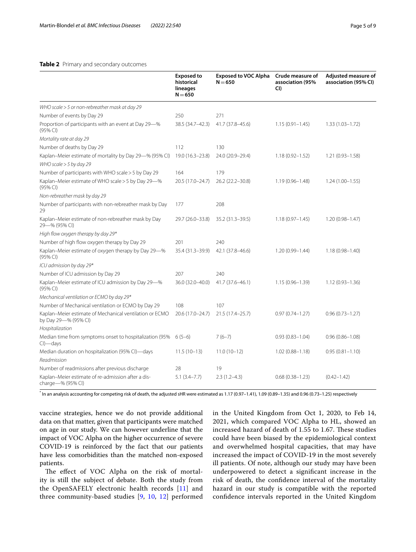# <span id="page-4-0"></span>**Table 2** Primary and secondary outcomes

|                                                                                     | <b>Exposed to</b><br>historical<br>lineages<br>$N = 650$ | <b>Exposed to VOC Alpha</b><br>$N = 650$ | Crude measure of<br>association (95%<br>CI) | Adjusted measure of<br>association (95% CI) |
|-------------------------------------------------------------------------------------|----------------------------------------------------------|------------------------------------------|---------------------------------------------|---------------------------------------------|
| WHO scale > 5 or non-rebreather mask at day 29                                      |                                                          |                                          |                                             |                                             |
| Number of events by Day 29                                                          | 250                                                      | 271                                      |                                             |                                             |
| Proportion of participants with an event at Day 29-%<br>(95% Cl)                    | 38.5 (34.7-42.3)                                         | 41.7 (37.8-45.6)                         | $1.15(0.91 - 1.45)$                         | $1.33(1.03 - 1.72)$                         |
| Mortality rate at day 29                                                            |                                                          |                                          |                                             |                                             |
| Number of deaths by Day 29                                                          | 112                                                      | 130                                      |                                             |                                             |
| Kaplan-Meier estimate of mortality by Day 29-% (95% CI)                             | 19.0 (16.3-23.8)                                         | 24.0 (20.9-29.4)                         | $1.18(0.92 - 1.52)$                         | $1.21(0.93 - 1.58)$                         |
| WHO scale $>$ 5 by day 29                                                           |                                                          |                                          |                                             |                                             |
| Number of participants with WHO scale > 5 by Day 29                                 | 164                                                      | 179                                      |                                             |                                             |
| Kaplan-Meier estimate of WHO scale > 5 by Day 29-%<br>(95% Cl)                      | 20.5 (17.0-24.7)                                         | 26.2 (22.2-30.8)                         | $1.19(0.96 - 1.48)$                         | $1.24(1.00-1.55)$                           |
| Non-rebreather mask by day 29                                                       |                                                          |                                          |                                             |                                             |
| Number of participants with non-rebreather mask by Day<br>29                        | 177                                                      | 208                                      |                                             |                                             |
| Kaplan-Meier estimate of non-rebreather mask by Day<br>29-% (95% CI)                | 29.7 (26.0-33.8)                                         | 35.2 (31.3-39.5)                         | $1.18(0.97 - 1.45)$                         | $1.20(0.98 - 1.47)$                         |
| High flow oxygen therapy by day 29*                                                 |                                                          |                                          |                                             |                                             |
| Number of high flow oxygen therapy by Day 29                                        | 201                                                      | 240                                      |                                             |                                             |
| Kaplan-Meier estimate of oxygen therapy by Day 29-%<br>(95% CI)                     | 35.4 (31.3-39.9)                                         | 42.1 (37.8-46.6)                         | 1.20 (0.99-1.44)                            | $1.18(0.98 - 1.40)$                         |
| ICU admission by day 29*                                                            |                                                          |                                          |                                             |                                             |
| Number of ICU admission by Day 29                                                   | 207                                                      | 240                                      |                                             |                                             |
| Kaplan-Meier estimate of ICU admission by Day 29-%<br>(95% Cl)                      | 36.0 (32.0-40.0)                                         | 41.7 (37.6-46.1)                         | 1.15 (0.96-1.39)                            | $1.12(0.93 - 1.36)$                         |
| Mechanical ventilation or ECMO by day 29*                                           |                                                          |                                          |                                             |                                             |
| Number of Mechanical ventilation or ECMO by Day 29                                  | 108                                                      | 107                                      |                                             |                                             |
| Kaplan-Meier estimate of Mechanical ventilation or ECMO<br>by Day 29-% (95% CI)     | 20.6 (17.0-24.7)                                         | 21.5 (17.4-25.7)                         | $0.97(0.74 - 1.27)$                         | $0.96(0.73 - 1.27)$                         |
| Hospitalization                                                                     |                                                          |                                          |                                             |                                             |
| Median time from symptoms onset to hospitalization (95% $6(5-6)$ )<br>$Cl$ ) — days |                                                          | $7(6-7)$                                 | $0.93(0.83 - 1.04)$                         | $0.96(0.86 - 1.08)$                         |
| Median duration on hospitalization (95% CI)-days                                    | $11.5(10-13)$                                            | $11.0(10-12)$                            | $1.02(0.88 - 1.18)$                         | $0.95(0.81 - 1.10)$                         |
| Readmission                                                                         |                                                          |                                          |                                             |                                             |
| Number of readmissions after previous discharge                                     | 28                                                       | 19                                       |                                             |                                             |
| Kaplan-Meier estimate of re-admission after a dis-<br>charge-% (95% CI)             | $5.1(3.4 - 7.7)$                                         | $2.3(1.2-4.3)$                           | $0.68(0.38 - 1.23)$                         | $(0.42 - 1.42)$                             |

\* In an analysis accounting for competing risk of death, the adjusted sHR were estimated as 1.17 (0.97–1.41), 1.09 (0.89–1.35) and 0.96 (0.73–1.25) respectively

vaccine strategies, hence we do not provide additional data on that matter, given that participants were matched on age in our study. We can however underline that the impact of VOC Alpha on the higher occurrence of severe COVID-19 is reinforced by the fact that our patients have less comorbidities than the matched non-exposed patients.

The effect of VOC Alpha on the risk of mortality is still the subject of debate. Both the study from the OpenSAFELY electronic health records [[11\]](#page-8-13) and three community-based studies [\[9](#page-8-6), [10,](#page-8-14) [12](#page-8-7)] performed in the United Kingdom from Oct 1, 2020, to Feb 14, 2021, which compared VOC Alpha to HL, showed an increased hazard of death of 1.55 to 1.67. These studies could have been biased by the epidemiological context and overwhelmed hospital capacities, that may have increased the impact of COVID-19 in the most severely ill patients. Of note, although our study may have been underpowered to detect a signifcant increase in the risk of death, the confdence interval of the mortality hazard in our study is compatible with the reported confdence intervals reported in the United Kingdom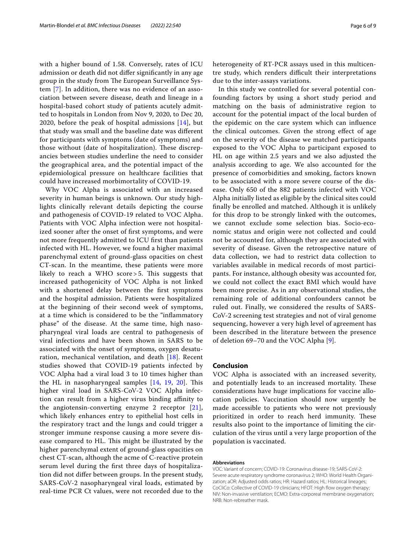with a higher bound of 1.58. Conversely, rates of ICU admission or death did not difer signifcantly in any age group in the study from The European Surveillance System [\[7](#page-8-4)]. In addition, there was no evidence of an association between severe disease, death and lineage in a hospital-based cohort study of patients acutely admitted to hospitals in London from Nov 9, 2020, to Dec 20, 2020, before the peak of hospital admissions [[14](#page-8-9)], but that study was small and the baseline date was diferent for participants with symptoms (date of symptoms) and those without (date of hospitalization). These discrepancies between studies underline the need to consider the geographical area, and the potential impact of the epidemiological pressure on healthcare facilities that could have increased morbimortality of COVID-19.

Why VOC Alpha is associated with an increased severity in human beings is unknown. Our study highlights clinically relevant details depicting the course and pathogenesis of COVID-19 related to VOC Alpha. Patients with VOC Alpha infection were not hospitalized sooner after the onset of frst symptoms, and were not more frequently admitted to ICU frst than patients infected with HL. However, we found a higher maximal parenchymal extent of ground-glass opacities on chest CT-scan. In the meantime, these patients were more likely to reach a WHO score  $>$  5. This suggests that increased pathogenicity of VOC Alpha is not linked with a shortened delay between the frst symptoms and the hospital admission. Patients were hospitalized at the beginning of their second week of symptoms, at a time which is considered to be the "infammatory phase" of the disease. At the same time, high nasopharyngeal viral loads are central to pathogenesis of viral infections and have been shown in SARS to be associated with the onset of symptoms, oxygen desaturation, mechanical ventilation, and death [[18](#page-8-15)]. Recent studies showed that COVID-19 patients infected by VOC Alpha had a viral load 3 to 10 times higher than the HL in nasopharyngeal samples  $[14, 19, 20]$  $[14, 19, 20]$  $[14, 19, 20]$  $[14, 19, 20]$  $[14, 19, 20]$ . This higher viral load in SARS-CoV-2 VOC Alpha infection can result from a higher virus binding affinity to the angiotensin-converting enzyme 2 receptor  $[21]$  $[21]$ , which likely enhances entry to epithelial host cells in the respiratory tract and the lungs and could trigger a stronger immune response causing a more severe disease compared to HL. This might be illustrated by the higher parenchymal extent of ground-glass opacities on chest CT-scan, although the acme of C-reactive protein serum level during the frst three days of hospitalization did not difer between groups. In the present study, SARS-CoV-2 nasopharyngeal viral loads, estimated by real-time PCR Ct values, were not recorded due to the heterogeneity of RT-PCR assays used in this multicentre study, which renders difficult their interpretations due to the inter-assays variations.

In this study we controlled for several potential confounding factors by using a short study period and matching on the basis of administrative region to account for the potential impact of the local burden of the epidemic on the care system which can infuence the clinical outcomes. Given the strong efect of age on the severity of the disease we matched participants exposed to the VOC Alpha to participant exposed to HL on age within 2.5 years and we also adjusted the analysis according to age. We also accounted for the presence of comorbidities and smoking, factors known to be associated with a more severe course of the disease. Only 650 of the 882 patients infected with VOC Alpha initially listed as eligible by the clinical sites could fnally be enrolled and matched. Although it is unlikely for this drop to be strongly linked with the outcomes, we cannot exclude some selection bias. Socio-economic status and origin were not collected and could not be accounted for, although they are associated with severity of disease. Given the retrospective nature of data collection, we had to restrict data collection to variables available in medical records of most participants. For instance, although obesity was accounted for, we could not collect the exact BMI which would have been more precise. As in any observational studies, the remaining role of additional confounders cannot be ruled out. Finally, we considered the results of SARS-CoV-2 screening test strategies and not of viral genome sequencing, however a very high level of agreement has been described in the literature between the presence of deletion 69–70 and the VOC Alpha [\[9](#page-8-6)].

#### **Conclusion**

VOC Alpha is associated with an increased severity, and potentially leads to an increased mortality. These considerations have huge implications for vaccine allocation policies. Vaccination should now urgently be made accessible to patients who were not previously prioritized in order to reach herd immunity. These results also point to the importance of limiting the circulation of the virus until a very large proportion of the population is vaccinated.

### **Abbreviations**

VOC: Variant of concern; COVID-19: Coronavirus disease-19; SARS-CoV-2: Severe acute respiratory syndrome coronavirus 2; WHO: World Health Organization; aOR: Adjusted odds ratios; HR: Hazard ratios; HL: Historical lineages; CoCliCo: Collective of COVID-19 clinicians; HFOT: High flow oxygen therapy; NIV: Non-invasive ventilation; ECMO: Extra-corporeal membrane oxygenation; NRB: Non-rebreather mask.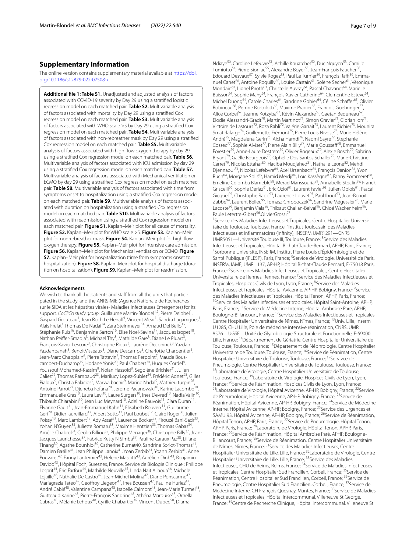# **Supplementary Information**

The online version contains supplementary material available at [https://doi.](https://doi.org/10.1186/s12879-022-07508-x) [org/10.1186/s12879-022-07508-x.](https://doi.org/10.1186/s12879-022-07508-x)

<span id="page-6-0"></span>**Additional fle 1: Table S1.** Unadjusted and adjusted analysis of factors associated with COVID-19 severity by Day 29 using a stratifed logistic regression model on each matched pair. **Table S2.** Multivariable analysis of factors associated with mortality by Day 29 using a stratifed Cox regression model on each matched pair. **Table S3.** Multivariable analysis of factors associated with WHO scale >5 by Day 29 using a stratifed Cox regression model on each matched pair. **Table S4.** Multivariable analysis of factors associated with non-rebreather mask by Day 29 using a stratifed Cox regression model on each matched pair. **Table S5.** Multivariable analysis of factors associated with high flow oxygen therapy by day 29 using a stratifed Cox regression model on each matched pair. **Table S6.**  Multivariable analysis of factors associated with ICU admission by day 29 using a stratifed Cox regression model on each matched pair. **Table S7.**  Multivariable analysis of factors associated with Mechanical ventilation or ECMO by day 29 using a stratifed Cox regression model on each matched pair. **Table S8.** Multivariable analysis of factors associated with time from symptoms onset to hospitalization using a stratifed Cox regression model on each matched pair. Table S9. Multivariable analysis of factors associated with duration on hospitalization using a stratifed Cox regression model on each matched pair. **Table S10.** Multivariable analysis of factors associated with readmission using a stratifed Cox regression model on each matched pair. **Figure S1.** Kaplan–Meir plot for all cause of mortality. **Figure S2.** Kaplan–Meir plot for WHO scale >5. **Figure S3.** Kaplan–Meir plot for non-rebreather mask. Figure S4. Kaplan–Meir plot for high flow oxygen therapy. **Figure S5.** Kaplan–Meir plot for intensive care admission. **Figure S6.** Kaplan–Meir plot for Mechanical ventilation or ECMO. **Figure S7.** Kaplan–Meir plot for hospitalization (time from symptoms onset to hospitalization). **Figure S8.** Kaplan–Meir plot for hospital discharge (duration on hospitalization). **Figure S9.** Kaplan–Meir plot for readmission.

#### **Acknowledgements**

We wish to thank all the patients and staff from all the units that participated in the study, and the ANRS-MIE (Agence Nationale de Recherches sur le SIDA et les hépatites virales- Maladies Infectieuses Emergentes) for its support. CoCliCo study group: Guillaume Martin-Blondel<sup>1,2</sup>, Pierre Delobel<sup>1</sup>, Gaspard Grouteau<sup>1</sup>, Jean Roch Le Henaff<sup>1</sup>, Vincent Mear<sup>1</sup>, Sandra Lagarrigues<sup>1</sup>, Alais Frelat<sup>1</sup>, Thomas De Nadai<sup>14</sup>, Zara Steinmeyer<sup>14</sup>, Arnaud Del Bello<sup>15</sup>, Stéphanie Ruiz<sup>16</sup>, Benjamine Sarton<sup>16</sup>, Elise Noel-Savina<sup>17</sup>, Jacques Izopet<sup>18</sup>, Nathan Peiffer-Smadja<sup>3</sup>, Michael Thy<sup>3</sup>, Mathilde Gare<sup>3</sup>, Diane Le Pluart<sup>3</sup> Nathan Peiffer-Smadja<sup>3</sup>, Michael Thy<sup>3</sup>, Mathilde Gare<sup>3</sup>, Diane Le Pluart<sup>3</sup>,<br>François-Xavier Lescure<sup>3</sup>, Christophe Rioux<sup>3</sup>, Laurène Deconinck<sup>3</sup>, Yazdan Yazdanpanah<sup>3</sup>, BenoitVisseaux<sup>3</sup>, Diane Descamps<sup>5</sup>, Charlotte Charpentier<sup>5</sup>, Jean-Marc Chapplain<sup>6</sup>, Pierre Tattevin<sup>6</sup>, Thomas Perpoint<sup>7</sup>, Maude Bouscambert-Duchamp<sup>19</sup>, Hodane Yonis<sup>20</sup>, Paul Chabert<sup>20</sup>, Hugues Cordel<sup>8</sup>, Youssouf Mohamed-Kassim<sup>8</sup>, Nolan Hassold<sup>8</sup>, Segolène Brichler<sup>21</sup>, Julien Caliez<sup>22</sup>, Thomas Rambaud<sup>23</sup>, Marilucy Lopez-Sublet<sup>24</sup>, Frédéric Adnet<sup>25</sup>, Gilles Pialoux<sup>9</sup>, Christia Palacios<sup>9</sup>, Marwa bachir<sup>9</sup>, Marine Nadal<sup>9</sup>, Mathieu turpin<sup>26</sup>, Antoine Parrot<sup>27</sup>, Djeneba Fofana<sup>28</sup>, Jérome Pacanowski<sup>10</sup>, Karine Lacombe<sup>10</sup>, Emmanuelle Gras<sup>10</sup>, Laura Levi<sup>10</sup>, Laure Surgers<sup>10</sup>, Ines Devred<sup>10</sup>, Nadia Valin<sup>10</sup>, Thibault Chiarabini<sup>10</sup>, Jean Luc Meynard<sup>10</sup>, Adeline Bauvois<sup>11</sup>, Clara Duran<sup>11</sup>, Elyanne Gault11, Jean-Emmanuel Kahn11, Elisabeth Rouveix11, Guillaume Geri<sup>29</sup>, Didier laureillard<sup>12</sup>, Albert Sotto<sup>12</sup>, Paul Loubet<sup>12</sup>, Claire Roger<sup>30</sup>, Julien Poissy<sup>13</sup>, Marc Lambert<sup>13</sup>, Ady Assaf<sup>31</sup>, Laurence Bocket<sup>32</sup>, Firouzé Bani-Sadr<sup>33</sup>, Yohan N'Guyen<sup>33</sup>, Juliette Romaru<sup>33</sup>, Maxime Hentzien<sup>33</sup>, Thomas Gabas<sup>34</sup>, Amélie Chabrol<sup>34</sup>, Cecilia Billiou<sup>35</sup>, Philippe Menager<sup>36</sup>, Christophe Billy<sup>37</sup>, Jean-Jacques Laurichesse<sup>37</sup>, Fabrice Ketty N Simba<sup>37</sup>, Pauline Caraux Paz<sup>38</sup>, Liliane Tinang<sup>39</sup>, Agathe Bounhiol<sup>39</sup>, Catherine Burnat40, Sandrine Soriot-Thomas<sup>41</sup> Damien Basille<sup>41</sup>, Jean Philippe Lanoix<sup>41</sup>, Yoan Zerbib<sup>41</sup>, Yoann Zerbib<sup>41</sup>, Anne Pouvaret<sup>42</sup>, Fanny Lanternier<sup>42</sup>, Helene Mascitti<sup>43</sup>, Aurélien Dinh<sup>43</sup>, Benjamin Davido43, Hôpital Foch, Suresnes, France, Service de Biologie Clinique : Philippe Lesprit<sup>44</sup>, Eric Farfour<sup>44</sup>, Mathilde Neuville<sup>45</sup>, Linda Nait Allaoua<sup>46</sup>, Michèle Lejaille<sup>46</sup>, Nathalie De Castro<sup>47</sup>, Jean-Michel Molina<sup>47</sup>, Diane Ponscarme<sup>47</sup> Mariagrazia Tateo<sup>47</sup>, Geoffroy Liegeon<sup>47</sup>, Ines Boussen<sup>47</sup>, Pauline Huriez<sup>47</sup>, André Cabié<sup>48</sup>, Valentine Campana<sup>48</sup>, Isabelle Calmont<sup>48</sup>, Jean-Marie Turmel<sup>48</sup>, Guitteaud Karine<sup>48</sup>, Pierre-François Sandrine<sup>48</sup>, Athéna Marquise<sup>48</sup>, Ornella Cabras<sup>48</sup>, Mélanie Lehoux<sup>48</sup>, Cyrille Chabartier<sup>49</sup>, Vincent Dubee<sup>50</sup>, Diama

Ndiaye<sup>50</sup>, Caroline Lefeuvre<sup>51</sup>, Achille Kouatchet<sup>52</sup>, Duc Nguyen<sup>53</sup>, Camille Tumiotto<sup>54</sup>, Pierre Sioniac<sup>55</sup>, Alexandre Boyer<sup>55</sup>, Jean-François Faucher<sup>5</sup> Edouard Desvaux<sup>57</sup>, Sylvie Rogez<sup>58</sup>, Paul Le Turnier<sup>59</sup>, François Raffi<sup>59</sup>, Emmanuel Canet<sup>60</sup>, Antoine Roquilly<sup>60</sup>, Louise Castain<sup>61</sup>, Solène Secher<sup>61</sup>, Véronique Mondain<sup>62</sup>, Lionel Piroth<sup>63</sup>, Christelle Auvray<sup>64</sup>, Pascal Chavanet<sup>64</sup>, Marielle Buisson<sup>64</sup>, Sophie Mahy<sup>64</sup>, François-Xavier Catherine<sup>64</sup>, Clementine Esteve<sup>64</sup>, Michel Duong<sup>64</sup>, Carole Charles<sup>64</sup>, Sandrine Gohier<sup>64</sup>, Céline Schaffer<sup>65</sup>, Olivier Robineau<sup>66</sup>, Perrine Bortolotti<sup>66</sup>, Maxime Pradier<sup>66</sup>, Francois Goehringer<sup>67</sup> Alice Corbel<sup>67</sup>, Jeanne Kotzyba<sup>67</sup>, Kévin Alexandre<sup>68</sup>, Gaetan Beduneau<sup>69</sup> Elodie Alessandri-Gradt<sup>70</sup>, Martin Martinot<sup>71</sup>, Simon Gravier<sup>71</sup>, Ciprian Ion<sup>71</sup>, Victoire de Lastours<sup>72</sup>, Roza Rahli<sup>72</sup>, Valérie Garrait<sup>73</sup>, Laurent Richier<sup>73</sup>, Mounira Smati-lafarge<sup>74</sup>, Guillemette Frémont<sup>75</sup>, Pierre Louis Nivose<sup>75</sup>, Marie Hélène André<sup>75</sup>, Magdalena Gerin<sup>75</sup>, Aicha Hamdi<sup>76</sup>, Naomi Sayre<sup>77</sup>, Stephanie Cossec<sup>77</sup>, Sophie Alviset<sup>77</sup>, Pierre Alain Billy<sup>77</sup>, Marie Gousseff<sup>78</sup>, Emmanuel Forestier<sup>79</sup>, Anne-Laure Destrem<sup>79</sup>, Olivier Rogeaux<sup>79</sup>, Alexie Bosch<sup>79</sup>, Sabrina Bryant<sup>79</sup>, Gaëlle Bourgeois<sup>79</sup>, Ophélie Dos Santos Schaller<sup>79</sup>, Marie-Christine Carret<sup>79</sup>, Nicolas Ettahar<sup>80</sup>, Haciba Moudjahed<sup>81</sup>, Nathalie Leone<sup>82</sup>, Mehdi Djennaoui<sup>83</sup>, Nicolas Lefebvre<sup>84</sup>, Axel Ursenbach<sup>84</sup>, François Danion<sup>84</sup>, Yvon Ruch<sup>84</sup>, Morgane Solis<sup>85</sup>, Hamid Merdji<sup>86</sup>, Loïc Kassègne<sup>87</sup>, Fanny Pommeret<sup>8</sup> Emeline Colomba Blameble<sup>88</sup>, Merad Manssouria<sup>89</sup>, Annabelle Stoclin<sup>89,</sup> Franck Griscelli<sup>90</sup>, Sophie Deriaz<sup>91</sup>, Eric Oziol<sup>91</sup>, Laurent Favier<sup>91</sup>, Julien Obiols<sup>91</sup>, Pascal Gicquel<sup>92</sup>, Christophe Rapp<sup>93</sup>, Laurence Louvet<sup>93</sup>, Paul Ihout<sup>93</sup>, Jean-Benoit Zabbé<sup>94</sup>, Laurent Bellec<sup>95</sup>, Tomasz Chroboczek<sup>96</sup>, Sandrine Mégessier<sup>96</sup>, Marie Lacoste<sup>96</sup>, Benjamin Viala<sup>96</sup>, Thibaut Challan-Belval<sup>96</sup>, Chloé Wackenheim<sup>96</sup>, Paule Letertre-Gibert<sup>96</sup>,OlivierGrossi<sup>97</sup>

<sup>1</sup> Service des Maladies Infectieuses et Tropicales, Centre Hospitalier Universitaire de Toulouse, Toulouse, France; <sup>2</sup>Institut Toulousain des Maladies Infectieuses et Infammatoires (Infnity), INSERM UMR1291—CNRS UMR5051-Université Toulouse III, Toulouse, France; <sup>3</sup>Service des Maladies Infectieuses et Tropicales, Hôpital Bichat-Claude-Bernard, APHP, Paris, France; 4 <sup>4</sup>Sorbonne Université, INSERM, Institut Pierre Louis d'Épidémiologie et de Santé Publique (IPLESP), Paris, France; <sup>5</sup>Service de Virologie, Université de Paris, INSERM, IAME, UMR 1137, AP-HP, Hôpital Bichat-Claude Bernard, F-75018 Paris, France; <sup>6</sup>Service des Maladies Infectieuses et Tropicales, Centre Hospitalier Universitaire de Rennes, Rennes, France; 7Service des Maladies Infectieuses et Tropicales, Hospices Civils de Lyon, Lyon, France; <sup>8</sup>Service des Maladies Infectieuses et Tropicales, Hôpital Avicenne, AP-HP, Bobigny, France; <sup>9</sup>Service des Maladies Infectieuses et Tropicales, Hôpital Tenon, APHP, Paris, France; <sup>10</sup>Service des Maladies infectieuses et tropicales, Hôpital Saint-Antoine, APHP, Paris, France; <sup>11</sup>Service de Médecine Interne, Hôpital Ambroise Paré, APHP, Boulogne-Billancourt, France; 12Service des Maladies Infectieuses et Tropicales, Centre Hospitalier Universitaire de Nîmes, Nîmes, France; 13Univ. Lille, Inserm U1285, CHU Lille, Pôle de médecine intensive réanimation, CNRS, UMR 8576—UGSF—Unité de Glycobiologie Structurale et Fonctionnelle, F-59000 Lille, France; 14Départmement de Gériatrie, Centre Hospitalier Universitaire de Toulouse, Toulouse, France; 15Département de Néphrologie, Centre Hospitalier Universitaire de Toulouse, Toulouse, France; 16Service de Réanimation, Centre Hospitalier Universitaire de Toulouse, Toulouse, France; 17Servivce de Pneumologie, Centre Hospitalier Universitaire de Toulouse, Toulouse, France; <sup>18</sup>Laboratoire de Virologie, Centre Hospitalier Universitaire de Toulouse, Toulouse, France; 19Laboratoire de Virologie, Hospices Civils de Lyon, Lyon, France; <sup>20</sup>Service de Réanimation, Hospices Civils de Lyon, Lyon, France; <sup>22</sup>Laboratoire de Virologie, Hôpital Avicenne, AP-HP, Bobigny, France; <sup>22</sup>Service de Pneumologie, Hôpital Avicenne, AP-HP, Bobigny, France; <sup>23</sup>Service de Réanimation, Hôpital Avicenne, AP-HP, Bobigny, France; 24Service de Médecine Interne, Hôpital Avicenne, AP-HP, Bobigny, France; <sup>25</sup>Service des Urgences et SAMU 93, Hôpital Avicenne, AP-HP, Bobigny, France; <sup>26</sup>Service de Réanimation, Hôpital Tenon, APHP, Paris, France; 27Service de Pneumologie, Hôpital Tenon, APHP, Paris, France; 28Laboratoire de Virologie, Hôpital Tenon, APHP, Paris, France; <sup>29</sup>Service de Réanimation, Hôpital Ambroise Paré, APHP, Boulogne-Billancourt, France; <sup>30</sup>Service de Réanimation, Centre Hospitalier Universitaire de Nîmes, Nîmes, France; <sup>31</sup>Service des Maladies Infectieuses, Centre Hospitalier Universitaire de Lille, Lille, France; 32Laboratoire de Virologie, Centre Hospitalier Universitaire de Lille, Lille, France; <sup>33</sup>Service des Maladies Infectieuses, CHU de Reims, Reims, France; 34Service de Maladies Infectieuses et Tropicales, Centre Hospitalier Sud Francilien, Corbeil, France; <sup>35</sup>Service de Réanimation, Centre Hospitalier Sud Francilien, Corbeil, France; <sup>36</sup>Service de Pneumologie, Centre Hospitalier Sud Francilien, Corbeil, France; <sup>37</sup>Service de Médecine Interne, CH François Quesnay, Mantes, France; <sup>38</sup>Service de Maladies Infectieuses et Tropicales, Hôpital intercommunal, Villeneuve St George, France; 39Centre de Recherche Clinique, Hôpital intercommunal, Villeneuve St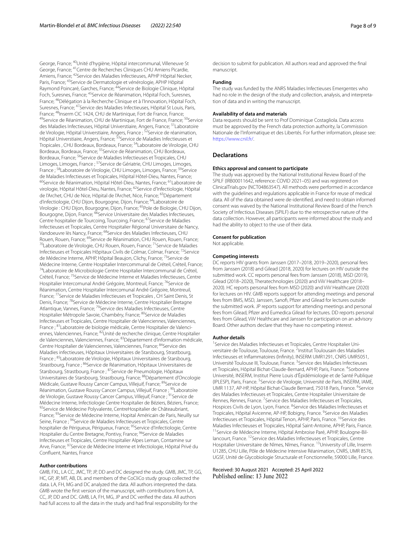George, France; 40Unité d'hygiène, Hôpital intercommunal, Villeneuve St George, France; <sup>41</sup>Centre de Recherches Cliniques CHU Amiens Picardie, Amiens, France; <sup>42</sup>Service des Maladies Infectieuses, APHP Hôpital Necker, Paris, France; 43Service de Dermatologie et vénérologie, APHP Hôpital Raymond Poincaré, Garches, France; <sup>44</sup>Service de Biologie Clinique, Hôpital Foch, Suresnes, France; 45Service de Réanimation, Hôpital Foch, Suresnes, France; 46Délégation à la Recherche Clinique et à l'Innovation, Hôpital Foch, Suresnes, France; <sup>47</sup>Service des Maladies Infectieuses, Hôpital St Louis, Paris,<br>France; <sup>48</sup>Inserm CIC 1424, CHU de Martinique, Fort de France, France; <sup>49</sup>Service de Réanimation, CHU de Martinique, Fort de France, France; <sup>50</sup>Service des Maladies Infectieuses, Hôpital Universtiaire, Angers, France; 51Laboratoire de Virologie, Hôpital Universtiaire, Angers, France ; <sup>52</sup>Service de réanimation, Hôpital Universtiaire, Angers, France; 53Service de Maladies Infectieuses et Tropicales , CHU Bordeaux, Bordeaux, France; 54Laboratoire de Virologie, CHU Bordeaux, Bordeaux, France; 55Service de Réanimation, CHU Bordeaux, Bordeaux, France; <sup>56</sup>Service de Maladies Infectieuses et Tropicales, CHU Limoges, Limoges, France ; 57Service de Gériatrie, CHU Limoges, Limoges, France ; <sup>58</sup>Laboratoire de Virologie, CHU Limoges, Limoges, France; <sup>59</sup>Service de Maladies Infectieuses et Tropicales, Hôpital Hôtel-Dieu, Nantes, France; 6<sup>0</sup>Laboratoire de Réanimation, Hôpital Hôtel-Dieu, Nantes, France; <sup>61</sup>Laboratoire de virologie, Hôpital Hôtel-Dieu, Nantes, France; 62Service d'Infectiologie, Hôpital de l'Archet, CHU de Nice, Hôpital de l'Archet, Nice, France; 63Département d'infectiologie, CHU Dijon, Bourgogne, Dijon, France; 64Laboratoire de Virologie : CHU Dijon, Bourgogne, Dijon, France; 65Pole de Biologie, CHU Dijon, Bourgogne, Dijon, France; <sup>66</sup>Service Universitaire des Maladies Infectieuses, Centre hospitalier de Tourcoing, Tourcoing, France; <sup>67</sup>Service de Maladies Infectieuses et Tropicales, Centre Hospitalier Régional Universitaire de Nancy, Vandoeuvre lès Nancy, France; <sup>68</sup>Service des Maladies Infectieuses, CHU<br>Rouen, Rouen, France; <sup>69</sup>Service de Réanimation, CHU Rouen, Rouen, France; <sup>70</sup>Laboratoire de Virologie, CHU Rouen, Rouen, France; <sup>71</sup>Service de Maladies Infectieuses et Tropicales Hôpitaux Civils de Colmar, Colmar, France; 72Service de Médecine Interne, APHP, Hôpital Beaujon, Clichy, France; 73Service de Médecine Interne, Centre Hospitalier Intercommunal de Créteil, Créteil, France; 74Laboratoire de Microbiologie Centre Hospitalier Intercommunal de Créteil, Créteil, France; 75Service de Médecine Interne et Maladies Infectieuses, Centre Hospitalier Intercomunal André Grégoire, Montreuil, France; <sup>76</sup>Service de Réanimation, Centre Hospitalier Intercomunal André Grégoire, Montreuil, France; <sup>77</sup>Service de Maladies Infectieuses et Tropicales, CH Saint Denis, St Denis, France; <sup>78</sup>Service de Médecine Interne, Centre Hospitalier Bretagne Atlantique, Vannes, France; 79Service des Maladies Infectieuses, Centre Hospitalier Métropole Savoie, Chambéry, France; <sup>80</sup>Service de Maladies Infectieuses et Tropicales, Centre Hospitalier de Valenciennes, Valenciennes, France ; <sup>81</sup> Laboratoire de biologie médicale, Centre Hospitalier de Valenciennes, Valenciennes, France; 82Unité de recherche clinique, Centre Hospitalier de Valenciennes, Valenciennes, France; 83Département d'information médicale, Centre Hospitalier de Valenciennes, Valenciennes, France; <sup>84</sup>Service des Maladies infectieuses, Hôpitaux Universitaires de Starsbourg, Strastbourg, France ; 85Laboratoire de Virologie, Hôpitaux Universitaires de Starsbourg, Strastbourg, France ; <sup>86</sup>Service de Réanimation, Hôpitaux Universitaires de Starsbourg, Strastbourg, France ; <sup>87</sup>Service de Pneumologie, Hôpitaux Universitaires de Starsbourg, Strastbourg, France; 88Département d'Oncologie Médicale, Gustave Roussy Cancer Campus, Villejuif, France; 89Service de Réanimation, Gustave Roussy Cancer Campus, Villejuif, France ; <sup>90</sup>Laboratoire de Virologie, Gustave Roussy Cancer Campus, Villejuif, France ; 91Service de Médecine Interne, Infectiologie Centre Hospitalier de Béziers, Béziers, France; <sup>92</sup>Service de Médecine Polyvalente, CentreHospitalier de Châteaubriant, France; <sup>93</sup> Service de Médecine Interne, Hopital Américain de Paris, Neuilly sur Seine, France ; <sup>94</sup>Service de Maladies Infectieuses et Tropicales, Centre hospitalier de Périgueux, Périgueux, France; 95Service d'Infectiologie, Centre Hospitalier du Centre Bretagne, Pontivy, France; <sup>96</sup>Service de Maladies Infectieuses et Tropicales, Centre Hospitalier Alpes Leman, Contamine sur Arve, France; 97Service de Médecine Interne et Infectiologie, Hôpital Privé du Confuent, Nantes, France

#### **Author contributions**

GMB, FXL, LA CC, JMC, TP, JP, DD and DC designed the study. GMB, JMC, TP, GG, HC, GP, JP, MT, AB, DL and members of the CoCliCo study group collected the data. LA, FH, MG and DC analyzed the data. All authors interpreted the data. GMB wrote the frst version of the manuscript, with contributions from LA, CC, JP, DD and DC. GMB, LA, FH, MG, JP and DC verifed the data. All authors had full access to all the data in the study and had fnal responsibility for the

decision to submit for publication. All authors read and approved the fnal manuscript.

# **Funding**

The study was funded by the ANRS Maladies Infectieuses Emergentes who had no role in the design of the study and collection, analysis, and interpretation of data and in writing the manuscript.

#### **Availability of data and materials**

Data requests should be sent to Prof Dominique Costagliola. Data access must be approved by the French data protection authority, la Commission Nationale de l'Informatique et des Libertés. For further information, please see: [https://www.cnil.fr/.](https://www.cnil.fr/)

# **Declarations**

#### **Ethics approval and consent to participate**

The study was approved by the National Institutional Review Board of the SPILF (IRB00011642, reference: COVID 2021–05) and was registered on ClinicalTrials.gov (NCT04863547). All methods were performed in accordance with the guidelines and regulations applicable in France for reuse of medical data. All of the data obtained were de-identifed, and need to obtain informed consent was waived by the National Institutional Review Board of the French Society of Infectious Diseases (SPILF) due to the retrospective nature of the data collection. However, all participants were informed about the study and had the ability to object to the use of their data.

#### **Consent for publication**

Not applicable.

#### **Competing interests**

DC reports HIV grants from Janssen (2017–2018, 2019–2020), personal fees from Janssen (2018) and Gilead (2018, 2020) for lectures on HIV outside the submitted work. CC reports personal fees from Janssen (2018), MSD (2019), Gilead (2018–2020), Theratechnologies (2020) and ViiV Healthcare (2018– 2020). HC reports personal fees from MSD (2020) and ViiV Healthcare (2020) for lectures on HIV. GMB reports support for attending meetings and personal fees from BMS, MSD, Janssen, Sanof, Pfzer and Gilead for lectures outside the submitted work. JP reports support for attending meetings and personal fees from Gilead, Pfzer and Eumedica Gilead for lectures. DD reports personal fees from Gilead, ViiV Healthcare and Janssen for participation on an advisory Board. Other authors declare that they have no competing interest.

#### **Author details**

<sup>1</sup> Service des Maladies Infectieuses et Tropicales, Centre Hospitalier Universitaire de Toulouse, Toulouse, France. <sup>2</sup>Institut Toulousain des Maladies Infectieuses et Infammatoires (Infnity), INSERM UMR1291, CNRS UMR5051, Université Toulouse III, Toulouse, France.<sup>3</sup> Service des Maladies Infectieuses et Tropicales, Hôpital Bichat-Claude-Bernard, APHP, Paris, France. <sup>4</sup>Sorbonne Université, INSERM, Institut Pierre Louis d'Épidémiologie et de Santé Publique (IPLESP), Paris, France. <sup>5</sup> Service de Virologie, Université de Paris, INSERM, IAME, UMR 1137, AP-HP, Hôpital Bichat-Claude Bernard, 75018 Paris, France. <sup>6</sup>Service des Maladies Infectieuses et Tropicales, Centre Hospitalier Universitaire de Rennes, Rennes, France. 7 Service des Maladies Infectieuses et Tropicales, Hospices Civils de Lyon, Lyon, France. <sup>8</sup>Service des Maladies Infectieuses et Tropicales, Hôpital Avicenne, AP-HP, Bobigny, France. <sup>9</sup>Service des Maladies Infectieuses et Tropicales, Hôpital Tenon, APHP, Paris, France. <sup>10</sup>Service des Maladies Infectieuses et Tropicales, Hôpital Saint-Antoine, APHP, Paris, France.<br><sup>11</sup>Service de Médecine Interne, Hôpital Ambroise Paré, APHP, Boulogne-Billancourt, France. 12Service des Maladies Infectieuses et Tropicales, Centre Hospitalier Universitaire de Nîmes, Nîmes, France. 13University of Lille, Inserm U1285, CHU Lille, Pôle de Médecine Intensive Réanimation, CNRS, UMR 8576, UGSF, Unité de Glycobiologie Structurale et Fonctionnelle, 59000 Lille, France.

Received: 30 August 2021 Accepted: 25 April 2022Published online: 13 June 2022